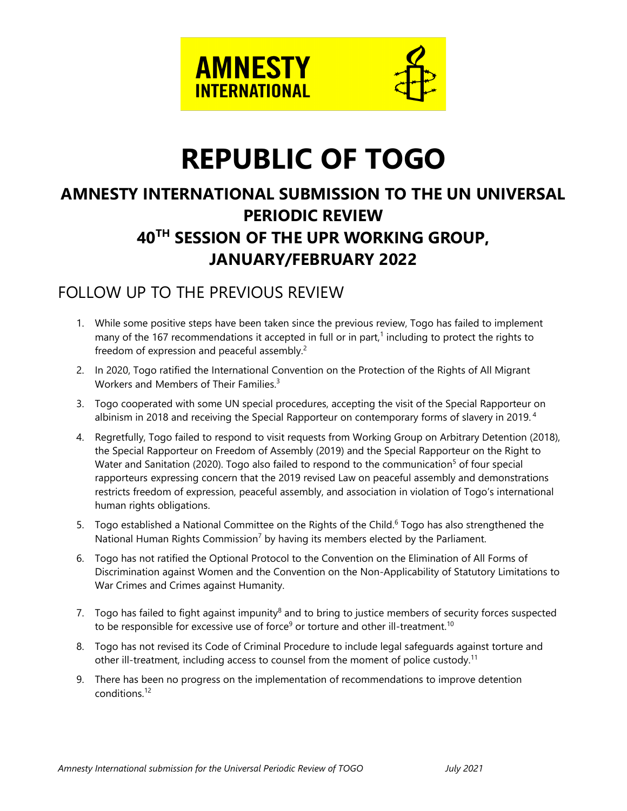

# **REPUBLIC OF TOGO**

# **AMNESTY INTERNATIONAL SUBMISSION TO THE UN UNIVERSAL PERIODIC REVIEW 40TH SESSION OF THE UPR WORKING GROUP, JANUARY/FEBRUARY 2022**

# FOLLOW UP TO THE PREVIOUS REVIEW

- 1. While some positive steps have been taken since the previous review, Togo has failed to implement many of the 167 recommendations it accepted in full or in part, 1 including to protect the rights to freedom of expression and peaceful assembly.<sup>2</sup>
- 2. In 2020, Togo ratified the International Convention on the Protection of the Rights of All Migrant Workers and Members of Their Families. 3
- 3. Togo cooperated with some UN special procedures, accepting the visit of the Special Rapporteur on albinism in 2018 and receiving the Special Rapporteur on contemporary forms of slavery in 2019. $^{\rm 4}$
- 4. Regretfully, Togo failed to respond to visit requests from Working Group on Arbitrary Detention (2018), the Special Rapporteur on Freedom of Assembly (2019) and the Special Rapporteur on the Right to Water and Sanitation (2020). Togo also failed to respond to the communication<sup>5</sup> of four special rapporteurs expressing concern that the 2019 revised Law on peaceful assembly and demonstrations restricts freedom of expression, peaceful assembly, and association in violation of Togo'<sup>s</sup> international human rights obligations.
- 5.  $\,$  Togo established a National Committee on the Rights of the Child. $^6$  Togo has also strengthened the National Human Rights Commission<sup>7</sup> by having its members elected by the Parliament.
- 6. Togo has not ratified the Optional Protocol to the Convention on the Elimination of All Forms of Discrimination against Women and the Convention on the Non-Applicability of Statutory Limitations to War Crimes and Crimes against Humanity.
- 7.  $\,$  Togo has failed to fight against impunity $^8$  and to bring to justice members of security forces suspected to be responsible for excessive use of force<sup>9</sup> or torture and other ill-treatment.<sup>10</sup>
- 8. Togo has not revised its Code of Criminal Procedure to include legal safeguards against torture and other ill-treatment, including access to counsel from the moment of police custody. $^{\rm 11}$
- 9. There has been no progress on the implementation of recommendations to improve detention conditions. 12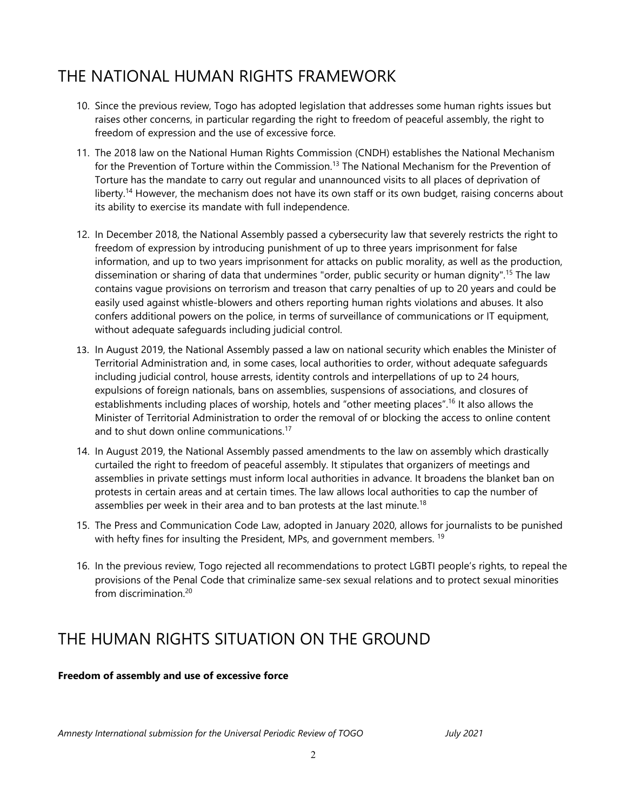# THE NATIONAL HUMAN RIGHTS FRAMEWORK

- 10. Since the previous review, Togo has adopted legislation that addresses some human rights issues but raises other concerns, in particular regarding the right to freedom of peaceful assembly, the right to freedom of expression and the use of excessive force.
- 11. The 2018 law on the National Human Rights Commission (CNDH) establishes the National Mechanism for the Prevention of Torture within the Commission.<sup>13</sup> The National Mechanism for the Prevention of Torture has the mandate to carry out regular and unannounced visits to all places of deprivation of liberty.<sup>14</sup> However, the mechanism does not have its own staff or its own budget, raising concerns about its ability to exercise its mandate with full independence.
- 12. In December 2018, the National Assembly passed <sup>a</sup> cybersecurity law that severely restricts the right to freedom of expression by introducing punishment of up to three years imprisonment for false information, and up to two years imprisonment for attacks on public morality, as well as the production, dissemination or sharing of data that undermines "order, public security or human dignity". 15 The law contains vague provisions on terrorism and treason that carry penalties of up to 20 years and could be easily used against whistle-blowers and others reporting human rights violations and abuses. It also confers additional powers on the police, in terms of surveillance of communications or IT equipment, without adequate safeguards including judicial control.
- 13. In August 2019, the National Assembly passed <sup>a</sup> law on national security which enables the Minister of Territorial Administration and, in some cases, local authorities to order, without adequate safeguards including judicial control, house arrests, identity controls and interpellations of up to 24 hours, expulsions of foreign nationals, bans on assemblies, suspensions of associations, and closures of establishments including places of worship, hotels and "other meeting places".<sup>16</sup> It also allows the Minister of Territorial Administration to order the removal of or blocking the access to online content and to shut down online communications.<sup>17</sup>
- 14. In August 2019, the National Assembly passed amendments to the law on assembly which drastically curtailed the right to freedom of peaceful assembly. It stipulates that organizers of meetings and assemblies in private settings must inform local authorities in advance. It broadens the blanket ban on protests in certain areas and at certain times. The law allows local authorities to cap the number of assemblies per week in their area and to ban protests at the last minute.<sup>18</sup>
- 15. The Press and Communication Code Law, adopted in January 2020, allows for journalists to be punished with hefty fines for insulting the President, MPs, and governmen<sup>t</sup> members. 19
- 16. In the previous review, Togo rejected all recommendations to protect LGBTI people'<sup>s</sup> rights, to repeal the provisions of the Penal Code that criminalize same-sex sexual relations and to protect sexual minorities from discrimination. 20

# THE HUMAN RIGHTS SITUATION ON THE GROUND

### **Freedom of assembly and use of excessive force**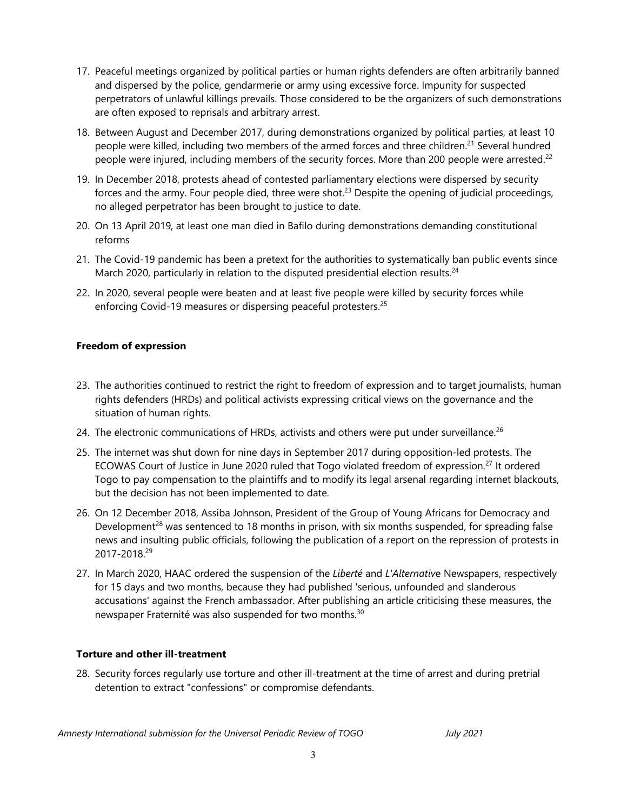- 17. Peaceful meetings organized by political parties or human rights defenders are often arbitrarily banned and dispersed by the police, gendarmerie or army using excessive force. Impunity for suspected perpetrators of unlawful killings prevails. Those considered to be the organizers of such demonstrations are often exposed to reprisals and arbitrary arrest.
- 18. Between August and December 2017, during demonstrations organized by political parties, at least 10 people were killed, including two members of the armed forces and three children.<sup>21</sup> Several hundred people were injured, including members of the security forces. More than 200 people were arrested. $^{22}$
- 19. In December 2018, protests ahead of contested parliamentary elections were dispersed by security forces and the army. Four people died, three were shot.<sup>23</sup> Despite the opening of judicial proceedings, no alleged perpetrator has been brought to justice to date.
- 20. On 13 April 2019, at least one man died in Bafilo during demonstrations demanding constitutional reforms
- 21. The Covid-19 pandemic has been <sup>a</sup> pretext for the authorities to systematically ban public events since March 2020, particularly in relation to the disputed presidential election results.<sup>24</sup>
- 22. In 2020, several people were beaten and at least five people were killed by security forces while enforcing Covid-19 measures or dispersing peaceful protesters. 25

# **Freedom of expression**

- 23. The authorities continued to restrict the right to freedom of expression and to target journalists, human rights defenders (HRDs) and political activists expressing critical views on the governance and the situation of human rights.
- 24. The electronic communications of HRDs, activists and others were put under surveillance.<sup>26</sup>
- 25. The internet was shut down for nine days in September 2017 during opposition-led protests. The ECOWAS Court of Justice in June 2020 ruled that Togo violated freedom of expression.<sup>27</sup> It ordered Togo to pay compensation to the plaintiffs and to modify its legal arsenal regarding internet blackouts, but the decision has not been implemented to date.
- 26. On 12 December 2018, Assiba Johnson, President of the Group of Young Africans for Democracy and Development<sup>28</sup> was sentenced to 18 months in prison, with six months suspended, for spreading false news and insulting public officials, following the publication of <sup>a</sup> report on the repression of protests in 2017-2018.<sup>29</sup>
- 27. In March 2020, HAAC ordered the suspension of the *Liberté* and *L'Alternativ*<sup>e</sup> Newspapers, respectively for 15 days and two months, because they had published 'serious, unfounded and slanderous accusations' against the French ambassador. After publishing an article criticising these measures, the newspaper Fraternité was also suspended for two months.<sup>30</sup>

### **Torture and other ill-treatment**

28. Security forces regularly use torture and other ill-treatment at the time of arrest and during pretrial detention to extract "confessions" or compromise defendants.

3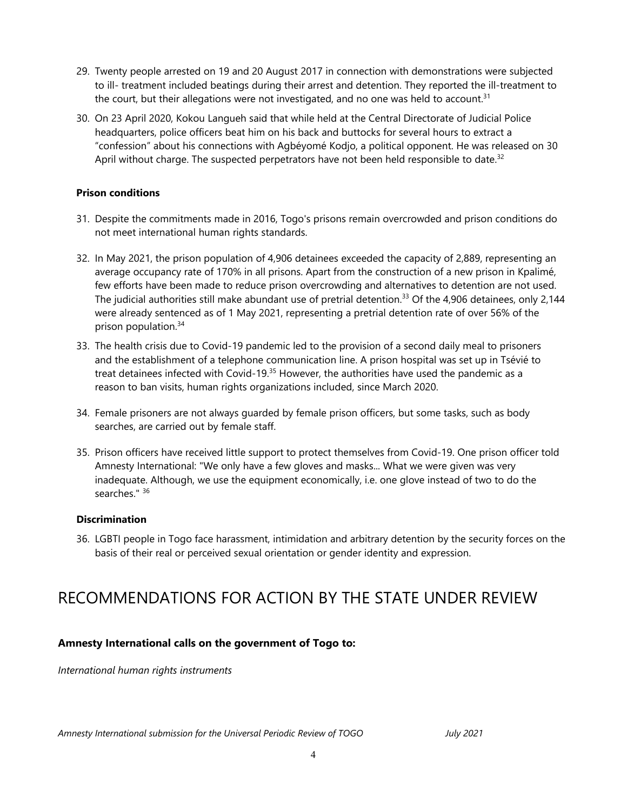- 29. Twenty people arrested on 19 and 20 August 2017 in connection with demonstrations were subjected to ill- treatment included beatings during their arrest and detention. They reported the ill-treatment to the court, but their allegations were not investigated, and no one was held to account.<sup>31</sup>
- 30. On 23 April 2020, Kokou Langueh said that while held at the Central Directorate of Judicial Police headquarters, police officers beat him on his back and buttocks for several hours to extract <sup>a</sup> "confession" about his connections with Agbéyomé Kodjo, <sup>a</sup> political opponent. He was released on 30 April without charge. The suspected perpetrators have not been held responsible to date.<sup>32</sup>

#### **Prison conditions**

- 31. Despite the commitments made in 2016, Togo's prisons remain overcrowded and prison conditions do not meet international human rights standards.
- 32. In May 2021, the prison population of 4,906 detainees exceeded the capacity of 2,889, representing an average occupancy rate of 170% in all prisons. Apart from the construction of <sup>a</sup> new prison in Kpalimé, few efforts have been made to reduce prison overcrowding and alternatives to detention are not used. The judicial authorities still make abundant use of pretrial detention.<sup>33</sup> Of the 4,906 detainees, only 2,144 were already sentenced as of 1 May 2021, representing <sup>a</sup> pretrial detention rate of over 56% of the prison population. 34
- 33. The health crisis due to Covid-19 pandemic led to the provision of <sup>a</sup> second daily meal to prisoners and the establishment of <sup>a</sup> telephone communication line. A prison hospital was set up in Tsévié to treat detainees infected with Covid-19.<sup>35</sup> However, the authorities have used the pandemic as a reason to ban visits, human rights organizations included, since March 2020.
- 34. Female prisoners are not always guarded by female prison officers, but some tasks, such as body searches, are carried out by female staff.
- 35. Prison officers have received little support to protect themselves from Covid-19. One prison officer told Amnesty International: "We only have <sup>a</sup> few gloves and masks... What we were given was very inadequate. Although, we use the equipment economically, i.e. one glove instead of two to do the searches." <sup>36</sup>

#### **Discrimination**

36. LGBTI people in Togo face harassment, intimidation and arbitrary detention by the security forces on the basis of their real or perceived sexual orientation or gender identity and expression.

# RECOMMENDATIONS FOR ACTION BY THE STATE UNDER REVIEW

### **Amnesty International calls on the government of Togo to:**

*International human rights instruments*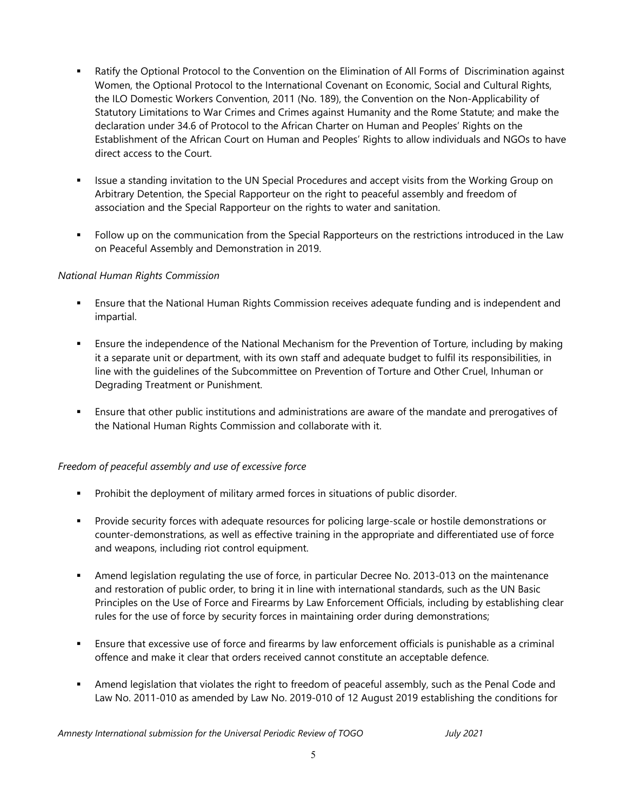- Ratify the Optional Protocol to the Convention on the Elimination of All Forms of Discrimination against Women, the Optional Protocol to the International Covenant on Economic, Social and Cultural Rights, the ILO Domestic Workers Convention, 2011 (No. 189), the Convention on the Non-Applicability of Statutory Limitations to War Crimes and Crimes against Humanity and the Rome Statute; and make the declaration under 34.6 of Protocol to the African Charter on Human and Peoples' Rights on the Establishment of the African Court on Human and Peoples' Rights to allow individuals and NGOs to have direct access to the Court.
- Issue a standing invitation to the UN Special Procedures and accept visits from the Working Group on Arbitrary Detention, the Special Rapporteur on the right to peaceful assembly and freedom of association and the Special Rapporteur on the rights to water and sanitation.
- П Follow up on the communication from the Special Rapporteurs on the restrictions introduced in the Law on Peaceful Assembly and Demonstration in 2019.

# *National Human Rights Commission*

- Ensure that the National Human Rights Commission receives adequate funding and is independent and impartial.
- Ensure the independence of the National Mechanism for the Prevention of Torture, including by making it <sup>a</sup> separate unit or department, with its own staff and adequate budget to fulfil its responsibilities, in line with the guidelines of the Subcommittee on Prevention of Torture and Other Cruel, Inhuman or Degrading Treatment or Punishment.
- Ensure that other public institutions and administrations are aware of the mandate and prerogatives of the National Human Rights Commission and collaborate with it.

### *Freedom of peaceful assembly and use of excessive force*

- Prohibit the deployment of military armed forces in situations of public disorder.
- Provide security forces with adequate resources for policing large-scale or hostile demonstrations or counter-demonstrations, as well as effective training in the appropriate and differentiated use of force and weapons, including riot control equipment.
- Amend legislation regulating the use of force, in particular Decree No. 2013-013 on the maintenance and restoration of public order, to bring it in line with international standards, such as the UN Basic Principles on the Use of Force and Firearms by Law Enforcement Officials, including by establishing clear rules for the use of force by security forces in maintaining order during demonstrations;
- Ensure that excessive use of force and firearms by law enforcement officials is punishable as <sup>a</sup> criminal offence and make it clear that orders received cannot constitute an acceptable defence.
- Amend legislation that violates the right to freedom of peaceful assembly, such as the Penal Code and Law No. 2011-010 as amended by Law No. 2019-010 of 12 August 2019 establishing the conditions for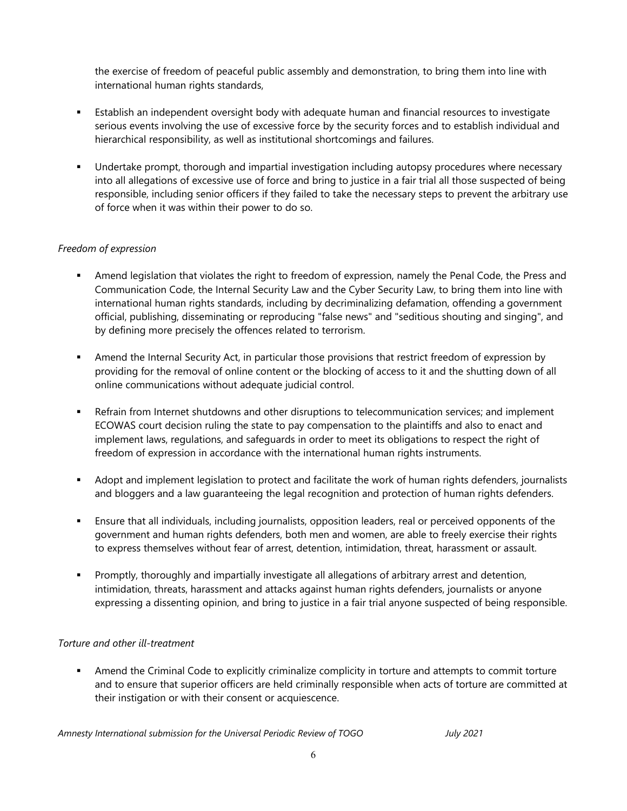the exercise of freedom of peaceful public assembly and demonstration, to bring them into line with international human rights standards,

- Establish an independent oversight body with adequate human and financial resources to investigate serious events involving the use of excessive force by the security forces and to establish individual and hierarchical responsibility, as well as institutional shortcomings and failures.
- Undertake prompt, thorough and impartial investigation including autopsy procedures where necessary into all allegations of excessive use of force and bring to justice in <sup>a</sup> fair trial all those suspected of being responsible, including senior officers if they failed to take the necessary steps to prevent the arbitrary use of force when it was within their power to do so.

# *Freedom of expression*

- Amend legislation that violates the right to freedom of expression, namely the Penal Code, the Press and Communication Code, the Internal Security Law and the Cyber Security Law, to bring them into line with international human rights standards, including by decriminalizing defamation, offending <sup>a</sup> governmen<sup>t</sup> official, publishing, disseminating or reproducing "false news" and "seditious shouting and singing", and by defining more precisely the offences related to terrorism.
- Amend the Internal Security Act, in particular those provisions that restrict freedom of expression by providing for the removal of online content or the blocking of access to it and the shutting down of all online communications without adequate judicial control.
- Refrain from Internet shutdowns and other disruptions to telecommunication services; and implement ECOWAS court decision ruling the state to pay compensation to the plaintiffs and also to enact and implement laws, regulations, and safeguards in order to meet its obligations to respect the right of freedom of expression in accordance with the international human rights instruments.
- Adopt and implement legislation to protect and facilitate the work of human rights defenders, journalists and bloggers and <sup>a</sup> law guaranteeing the legal recognition and protection of human rights defenders.
- Ensure that all individuals, including journalists, opposition leaders, real or perceived opponents of the governmen<sup>t</sup> and human rights defenders, both men and women, are able to freely exercise their rights to express themselves without fear of arrest, detention, intimidation, threat, harassment or assault.
- Promptly, thoroughly and impartially investigate all allegations of arbitrary arrest and detention, intimidation, threats, harassment and attacks against human rights defenders, journalists or anyone expressing <sup>a</sup> dissenting opinion, and bring to justice in <sup>a</sup> fair trial anyone suspected of being responsible.

# *Torture and other ill-treatment*

 Amend the Criminal Code to explicitly criminalize complicity in torture and attempts to commit torture and to ensure that superior officers are held criminally responsible when acts of torture are committed at their instigation or with their consent or acquiescence.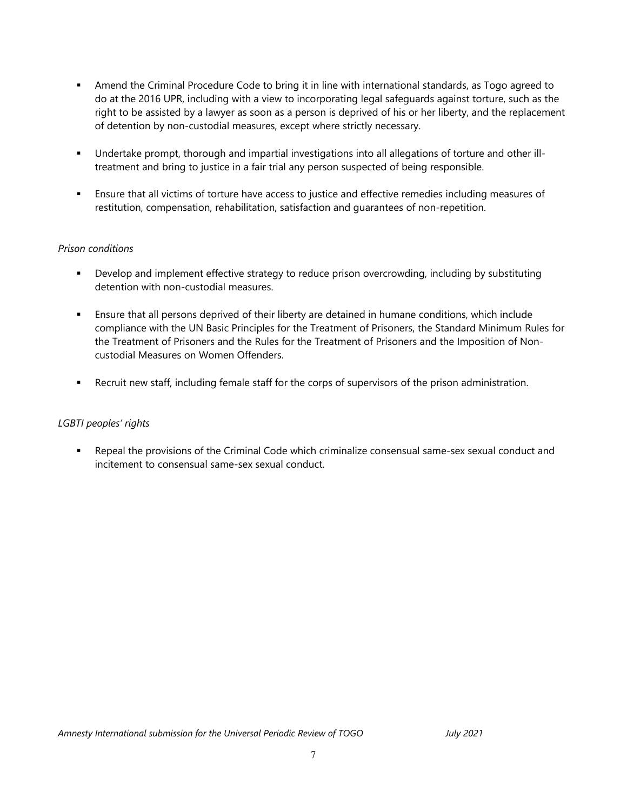- Amend the Criminal Procedure Code to bring it in line with international standards, as Togo agreed to do at the 2016 UPR, including with <sup>a</sup> view to incorporating legal safeguards against torture, such as the right to be assisted by <sup>a</sup> lawyer as soon as <sup>a</sup> person is deprived of his or her liberty, and the replacement of detention by non-custodial measures, except where strictly necessary.
- Undertake prompt, thorough and impartial investigations into all allegations of torture and other illtreatment and bring to justice in <sup>a</sup> fair trial any person suspected of being responsible.
- Ensure that all victims of torture have access to justice and effective remedies including measures of restitution, compensation, rehabilitation, satisfaction and guarantees of non-repetition.

# *Prison conditions*

- Develop and implement effective strategy to reduce prison overcrowding, including by substituting detention with non-custodial measures.
- Ensure that all persons deprived of their liberty are detained in humane conditions, which include compliance with the UN Basic Principles for the Treatment of Prisoners, the Standard Minimum Rules for the Treatment of Prisoners and the Rules for the Treatment of Prisoners and the Imposition of Noncustodial Measures on Women Offenders.
- Recruit new staff, including female staff for the corps of supervisors of the prison administration.

### *LGBTI peoples' rights*

 $\mathbf{r}$  . Repeal the provisions of the Criminal Code which criminalize consensual same-sex sexual conduct and incitement to consensual same-sex sexual conduct.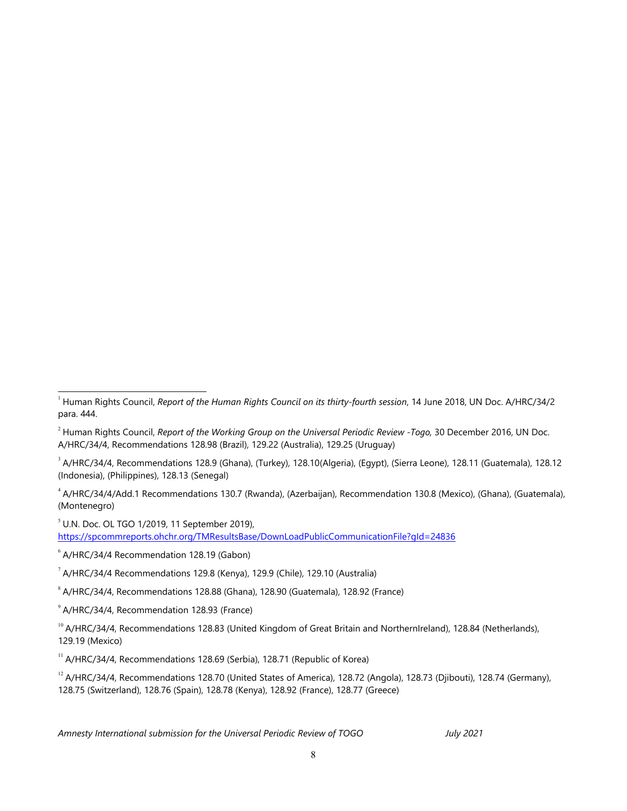<sup>3</sup> A/HRC/34/4, Recommendations 128.9 (Ghana), (Turkey), 128.10(Algeria), (Egypt), (Sierra Leone), 128.11 (Guatemala), 128.12 (Indonesia), (Philippines), 128.13 (Senegal)

4 A/HRC/34/4/Add.1 Recommendations 130.7 (Rwanda), (Azerbaijan), Recommendation 130.8 (Mexico), (Ghana), (Guatemala), (Montenegro)

 $<sup>5</sup>$  U.N. Doc. OL TGO 1/2019, 11 September 2019),</sup> <https://spcommreports.ohchr.org/TMResultsBase/DownLoadPublicCommunicationFile?gId=24836>

6 A/HRC/34/4 Recommendation 128.19 (Gabon)

 $1/7$  A/HRC/34/4 Recommendations 129.8 (Kenya), 129.9 (Chile), 129.10 (Australia)

8 A/HRC/34/4, Recommendations 128.88 (Ghana), 128.90 (Guatemala), 128.92 (France)

 $^{\circ}$  A/HRC/34/4, Recommendation 128.93 (France)

<sup>10</sup> A/HRC/34/4, Recommendations 128.83 (United Kingdom of Great Britain and NorthernIreland), 128.84 (Netherlands), 129.19 (Mexico)

 $11$  A/HRC/34/4, Recommendations 128.69 (Serbia), 128.71 (Republic of Korea)

<sup>12</sup> A/HRC/34/4, Recommendations 128.70 (United States of America), 128.72 (Angola), 128.73 (Djibouti), 128.74 (Germany), 128.75 (Switzerland), 128.76 (Spain), 128.78 (Kenya), 128.92 (France), 128.77 (Greece)

<sup>1</sup> Human Rights Council, *Report of the Human Rights Council on its thirty-fourth session*, 14 June 2018, UN Doc. A/HRC/34/2 para. 444.

<sup>2</sup> Human Rights Council, *Report of the Working Group on the Universal Periodic Review* -*Togo,* 30 December 2016, UN Doc. A/HRC/34/4, Recommendations 128.98 (Brazil), 129.22 (Australia), 129.25 (Uruguay)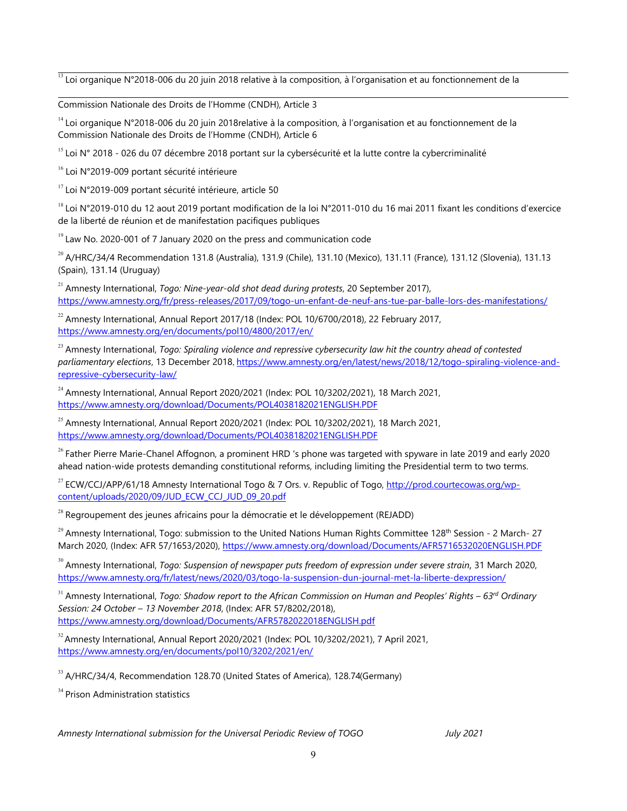<sup>13</sup> Loi organique N°2018-006 du 20 juin 2018 relative à la composition, à l'organisation et au fonctionnement de la

Commission Nationale des Droits de l'Homme (CNDH), Article 3

14 Loi organique N°2018-006 du 20 juin 2018relative à la composition, à l'organisation et au fonctionnement de la Commission Nationale des Droits de l'Homme (CNDH), Article 6

 $^{15}$  Loi N° 2018 - 026 du 07 décembre 2018 portant sur la cybersécurité et la lutte contre la cybercriminalité

<sup>16</sup> Loi N°2019-009 portant sécurité intérieure

<sup>17</sup> Loi N°2019-009 portant sécurité intérieure, article 50

<sup>18</sup> Loi N°2019-010 du 12 aout 2019 portant modification de la loi N°2011-010 du 16 mai 2011 fixant les conditions d'exercice de la liberté de réunion et de manifestation pacifiques publiques

<sup>19</sup> Law No. 2020-001 of 7 January 2020 on the press and communication code

 $^{20}$  A/HRC/34/4 Recommendation 131.8 (Australia), 131.9 (Chile), 131.10 (Mexico), 131.11 (France), 131.12 (Slovenia), 131.13 (Spain), 131.14 (Uruguay)

21 Amnesty International, *Togo: Nine-year-old shot dead during protests*, 20 September 2017), <https://www.amnesty.org/fr/press-releases/2017/09/togo-un-enfant-de-neuf-ans-tue-par-balle-lors-des-manifestations/>

 $^{22}$  Amnesty International, Annual Report 2017/18 (Index: POL 10/6700/2018), 22 February 2017, <https://www.amnesty.org/en/documents/pol10/4800/2017/en/>

23 Amnesty International, *Togo: Spiraling violence and repressive cybersecurity law hit the country ahead of contested parliamentary elections*, 13 December 2018, [https://www.amnesty.org/en/latest/news/2018/12/togo-spiraling-violence-and](https://www.amnesty.org/en/latest/news/2018/12/togo-spiraling-violence-and-repressive-cybersecurity-law/)repress[ive-cybersecurity-law/](https://www.amnesty.org/en/latest/news/2018/12/togo-spiraling-violence-and-repressive-cybersecurity-law/)

<sup>24</sup> Amnesty International, Annual Report 2020/2021 (Index: POL 10/3202/2021), 18 March 2021, <https://www.amnesty.org/download/Documents/POL4038182021ENGLISH.PDF>

<sup>25</sup> Amnesty International, Annual Report 2020/2021 (Index: POL 10/3202/2021), 18 March 2021, <https://www.amnesty.org/download/Documents/POL4038182021ENGLISH.PDF>

<sup>26</sup> Father Pierre Marie-Chanel Affognon, a prominent HRD 's phone was targeted with spyware in late 2019 and early 2020 ahead nation-wide protests demanding constitutional reforms, including limiting the Presidential term to two terms.

<sup>27</sup> ECW/CCJ/APP/61/18 Amnesty International Togo & 7 Ors. v. Republic of Togo, <u>http://prod.courtecowas.org/wp</u>[content/uploads/2020/09/JUD\\_ECW\\_CCJ\\_JUD\\_09\\_20.pdf](http://prod.courtecowas.org/wp-content/uploads/2020/09/JUD_ECW_CCJ_JUD_09_20.pdf)

<sup>28</sup> Regroupement des jeunes africains pour la démocratie et le développement (REJADD)

<sup>29</sup> Amnesty International, Togo: submission to the United Nations Human Rights Committee 128<sup>th</sup> Session - 2 March- 27 March 2020, (Index: AFR 57/1653/2020), <https://www.amnesty.org/download/Documents/AFR5716532020ENGLISH.PDF>

30 Amnesty International, *Togo: Suspension of newspaper puts freedom of expression under severe strain*, 31 March 2020, <https://www.amnesty.org/fr/latest/news/2020/03/togo-la-suspension-dun-journal-met-la-liberte-dexpression/>

 $^{\rm 31}$  Amnesty International, Togo: Shadow report to the African Commission on Human and Peoples' Rights – 63<sup>rd</sup> Ordinary *Session: 24 October – 13 November 2018*, (Index: AFR 57/8202/2018), <https://www.amnesty.org/download/Documents/AFR5782022018ENGLISH.pdf>

<sup>32</sup> Amnesty International, Annual Report 2020/2021 (Index: POL 10/3202/2021), 7 April 2021, <https://www.amnesty.org/en/documents/pol10/3202/2021/en/>

<sup>33</sup> A/HRC/34/4, Recommendation 128.70 (United States of America), 128.74(Germany)

<sup>34</sup> Prison Administration statistics